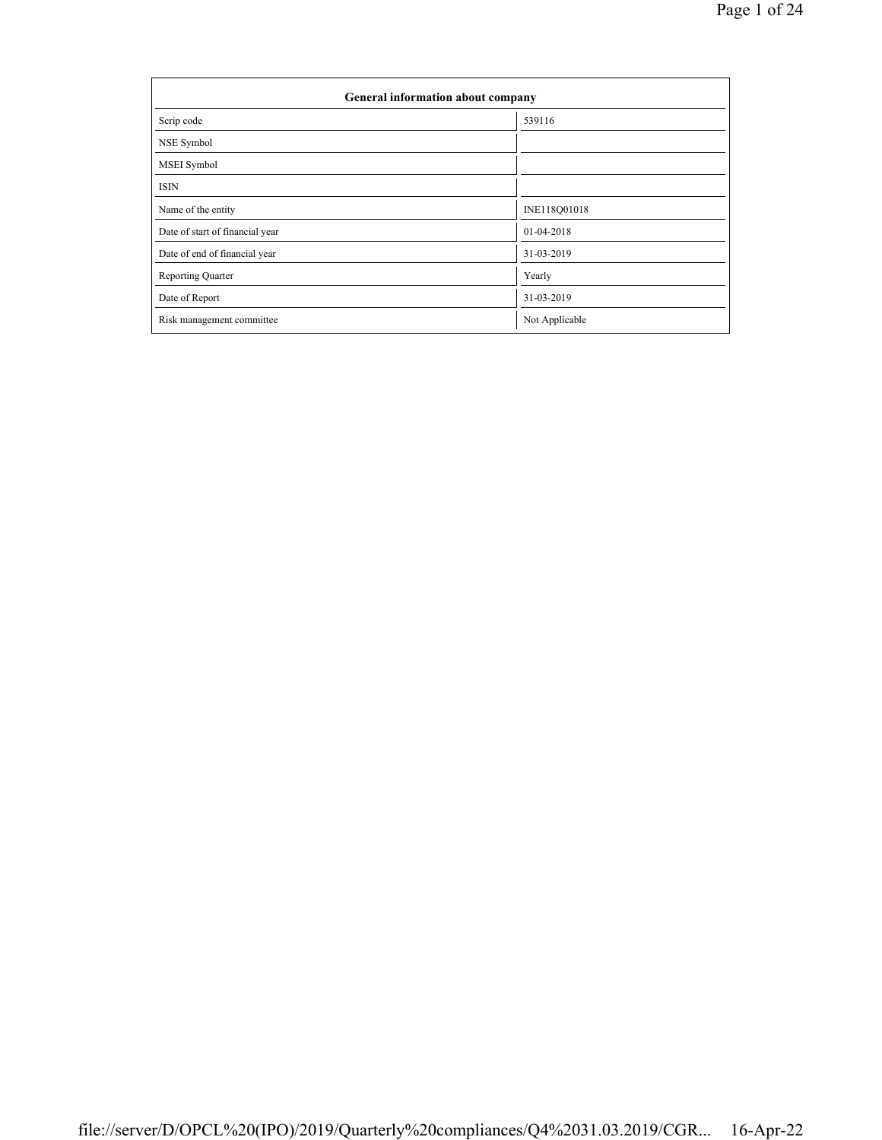| <b>General information about company</b> |                |  |  |  |  |  |
|------------------------------------------|----------------|--|--|--|--|--|
| Scrip code                               | 539116         |  |  |  |  |  |
| NSE Symbol                               |                |  |  |  |  |  |
| MSEI Symbol                              |                |  |  |  |  |  |
| <b>ISIN</b>                              |                |  |  |  |  |  |
| Name of the entity                       | INE118Q01018   |  |  |  |  |  |
| Date of start of financial year          | 01-04-2018     |  |  |  |  |  |
| Date of end of financial year            | 31-03-2019     |  |  |  |  |  |
| Reporting Quarter                        | Yearly         |  |  |  |  |  |
| Date of Report                           | 31-03-2019     |  |  |  |  |  |
| Risk management committee                | Not Applicable |  |  |  |  |  |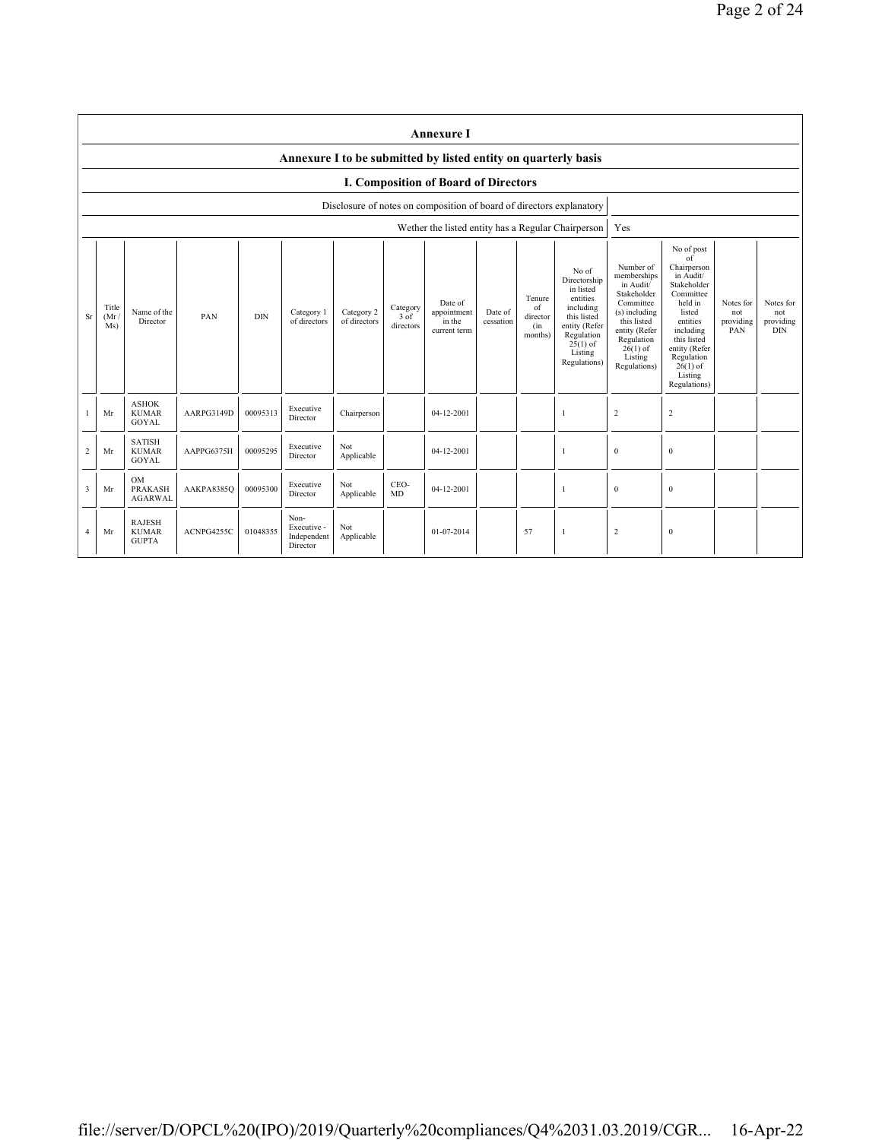|           | <b>Annexure I</b>                                                                                                                                                                                                                                                                                                                                                                                                                                 |                                               |            |          |                                                |                                                                                                                                                                           |                                                                                                                                                                                                                      |                                                                      |                                             |    |              |                |              |  |  |
|-----------|---------------------------------------------------------------------------------------------------------------------------------------------------------------------------------------------------------------------------------------------------------------------------------------------------------------------------------------------------------------------------------------------------------------------------------------------------|-----------------------------------------------|------------|----------|------------------------------------------------|---------------------------------------------------------------------------------------------------------------------------------------------------------------------------|----------------------------------------------------------------------------------------------------------------------------------------------------------------------------------------------------------------------|----------------------------------------------------------------------|---------------------------------------------|----|--------------|----------------|--------------|--|--|
|           | Annexure I to be submitted by listed entity on quarterly basis                                                                                                                                                                                                                                                                                                                                                                                    |                                               |            |          |                                                |                                                                                                                                                                           |                                                                                                                                                                                                                      |                                                                      |                                             |    |              |                |              |  |  |
|           |                                                                                                                                                                                                                                                                                                                                                                                                                                                   |                                               |            |          |                                                |                                                                                                                                                                           |                                                                                                                                                                                                                      | I. Composition of Board of Directors                                 |                                             |    |              |                |              |  |  |
|           |                                                                                                                                                                                                                                                                                                                                                                                                                                                   |                                               |            |          |                                                |                                                                                                                                                                           |                                                                                                                                                                                                                      | Disclosure of notes on composition of board of directors explanatory |                                             |    |              |                |              |  |  |
|           |                                                                                                                                                                                                                                                                                                                                                                                                                                                   |                                               |            |          |                                                |                                                                                                                                                                           |                                                                                                                                                                                                                      | Wether the listed entity has a Regular Chairperson                   |                                             |    |              | Yes            |              |  |  |
| <b>Sr</b> | No of<br>Directorship<br>in listed<br>entities<br>Tenure<br>Date of<br>of<br>including<br>Title<br>Category<br>Name of the<br>Category 1<br>Category 2<br>appointment<br>Date of<br>this listed<br><b>DIN</b><br>PAN<br>3 of<br>(Mr)<br>director<br>Director<br>of directors<br>of directors<br>in the<br>cessation<br>entity (Refer<br>Ms)<br>directors<br>(in<br>current term<br>Regulation<br>months)<br>$25(1)$ of<br>Listing<br>Regulations) |                                               |            |          |                                                | Number of<br>memberships<br>in Audit/<br>Stakeholder<br>Committee<br>(s) including<br>this listed<br>entity (Refer<br>Regulation<br>$26(1)$ of<br>Listing<br>Regulations) | No of post<br>$\circ f$<br>Chairperson<br>in Audit/<br>Stakeholder<br>Committee<br>held in<br>listed<br>entities<br>including<br>this listed<br>entity (Refer<br>Regulation<br>$26(1)$ of<br>Listing<br>Regulations) | Notes for<br>not<br>providing<br>PAN                                 | Notes for<br>not<br>providing<br><b>DIN</b> |    |              |                |              |  |  |
|           | Mr                                                                                                                                                                                                                                                                                                                                                                                                                                                | <b>ASHOK</b><br><b>KUMAR</b><br><b>GOYAL</b>  | AARPG3149D | 00095313 | Executive<br>Director                          | Chairperson                                                                                                                                                               |                                                                                                                                                                                                                      | 04-12-2001                                                           |                                             |    | $\mathbf{1}$ | $\overline{2}$ | $\sqrt{2}$   |  |  |
| 2         | Mr                                                                                                                                                                                                                                                                                                                                                                                                                                                | <b>SATISH</b><br><b>KUMAR</b><br>GOYAL        | AAPPG6375H | 00095295 | Executive<br>Director                          | Not<br>Applicable                                                                                                                                                         |                                                                                                                                                                                                                      | 04-12-2001                                                           |                                             |    | 1            | $\overline{0}$ | $\mathbf{0}$ |  |  |
| 3         | Mr                                                                                                                                                                                                                                                                                                                                                                                                                                                | OM<br><b>PRAKASH</b><br><b>AGARWAL</b>        | AAKPA8385Q | 00095300 | Executive<br>Director                          | Not<br>Applicable                                                                                                                                                         | CEO-<br>MD                                                                                                                                                                                                           | 04-12-2001                                                           |                                             |    | $\mathbf{1}$ | $\mathbf{0}$   | $\mathbf{0}$ |  |  |
| 4         | Mr                                                                                                                                                                                                                                                                                                                                                                                                                                                | <b>RAJESH</b><br><b>KUMAR</b><br><b>GUPTA</b> | ACNPG4255C | 01048355 | Non-<br>Executive -<br>Independent<br>Director | Not<br>Applicable                                                                                                                                                         |                                                                                                                                                                                                                      | 01-07-2014                                                           |                                             | 57 | -1           | $\overline{2}$ | $\mathbf{0}$ |  |  |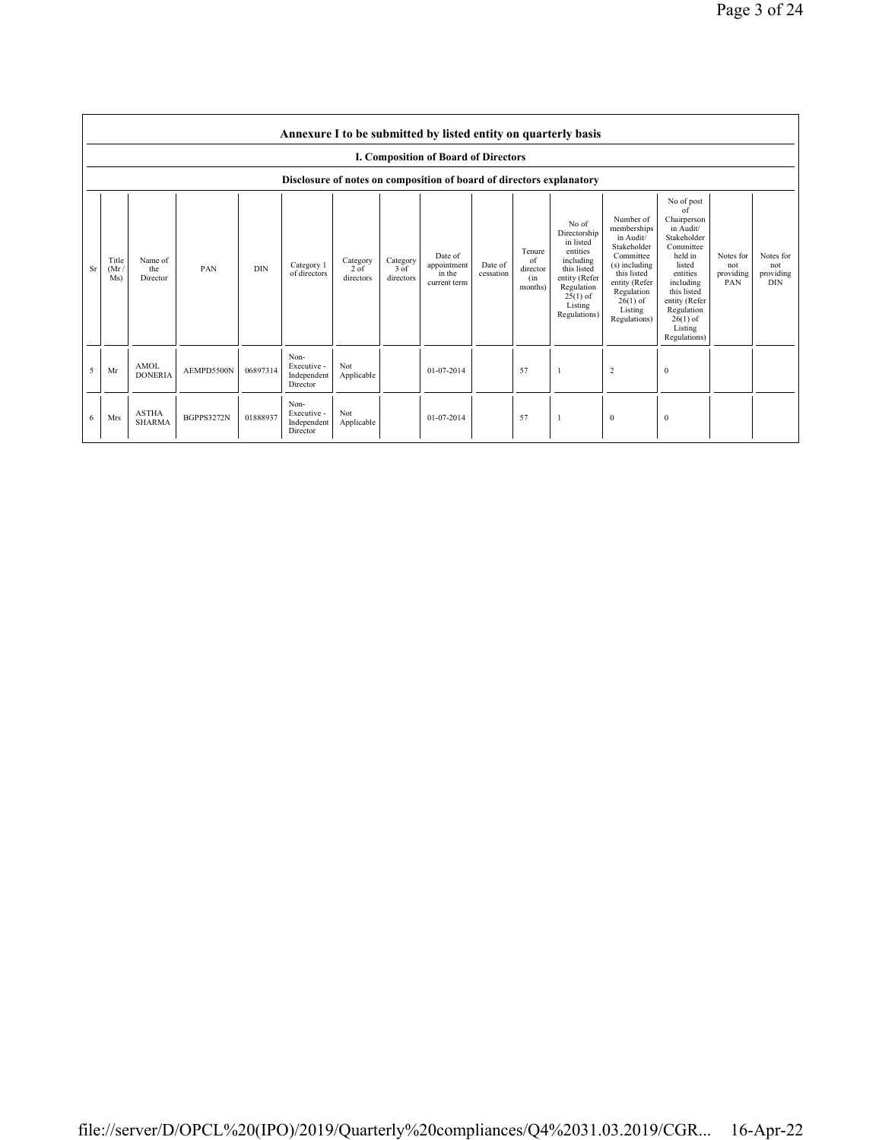|    | Annexure I to be submitted by listed entity on quarterly basis |                               |            |            |                                                                      |                               |                                 |                                                  |                      |                                            |                                                                                                                                                    |                                                                                                                                                                           |                                                                                                                                                                                                                       |                                      |                                             |
|----|----------------------------------------------------------------|-------------------------------|------------|------------|----------------------------------------------------------------------|-------------------------------|---------------------------------|--------------------------------------------------|----------------------|--------------------------------------------|----------------------------------------------------------------------------------------------------------------------------------------------------|---------------------------------------------------------------------------------------------------------------------------------------------------------------------------|-----------------------------------------------------------------------------------------------------------------------------------------------------------------------------------------------------------------------|--------------------------------------|---------------------------------------------|
|    |                                                                |                               |            |            |                                                                      |                               |                                 | I. Composition of Board of Directors             |                      |                                            |                                                                                                                                                    |                                                                                                                                                                           |                                                                                                                                                                                                                       |                                      |                                             |
|    |                                                                |                               |            |            | Disclosure of notes on composition of board of directors explanatory |                               |                                 |                                                  |                      |                                            |                                                                                                                                                    |                                                                                                                                                                           |                                                                                                                                                                                                                       |                                      |                                             |
| Sr | Title<br>(Mr)<br>Ms)                                           | Name of<br>the<br>Director    | PAN        | <b>DIN</b> | Category 1<br>of directors                                           | Category<br>2 of<br>directors | Category<br>$3$ of<br>directors | Date of<br>appointment<br>in the<br>current term | Date of<br>cessation | Tenure<br>of<br>director<br>(in<br>months) | No of<br>Directorship<br>in listed<br>entities<br>including<br>this listed<br>entity (Refer<br>Regulation<br>$25(1)$ of<br>Listing<br>Regulations) | Number of<br>memberships<br>in Audit/<br>Stakeholder<br>Committee<br>(s) including<br>this listed<br>entity (Refer<br>Regulation<br>$26(1)$ of<br>Listing<br>Regulations) | No of post<br>$\alpha$ f<br>Chairperson<br>in Audit/<br>Stakeholder<br>Committee<br>held in<br>listed<br>entities<br>including<br>this listed<br>entity (Refer<br>Regulation<br>$26(1)$ of<br>Listing<br>Regulations) | Notes for<br>not<br>providing<br>PAN | Notes for<br>not<br>providing<br><b>DIN</b> |
| 5  | Mr                                                             | <b>AMOL</b><br><b>DONERIA</b> | AEMPD5500N | 06897314   | Non-<br>Executive -<br>Independent<br>Director                       | Not<br>Applicable             |                                 | 01-07-2014                                       |                      | 57                                         |                                                                                                                                                    | $\sqrt{2}$                                                                                                                                                                | $\theta$                                                                                                                                                                                                              |                                      |                                             |
| 6  | Mrs                                                            | <b>ASTHA</b><br><b>SHARMA</b> | BGPPS3272N | 01888937   | Non-<br>Executive -<br>Independent<br>Director                       | Not<br>Applicable             |                                 | 01-07-2014                                       |                      | 57                                         | -1                                                                                                                                                 | $\bf{0}$                                                                                                                                                                  | $\theta$                                                                                                                                                                                                              |                                      |                                             |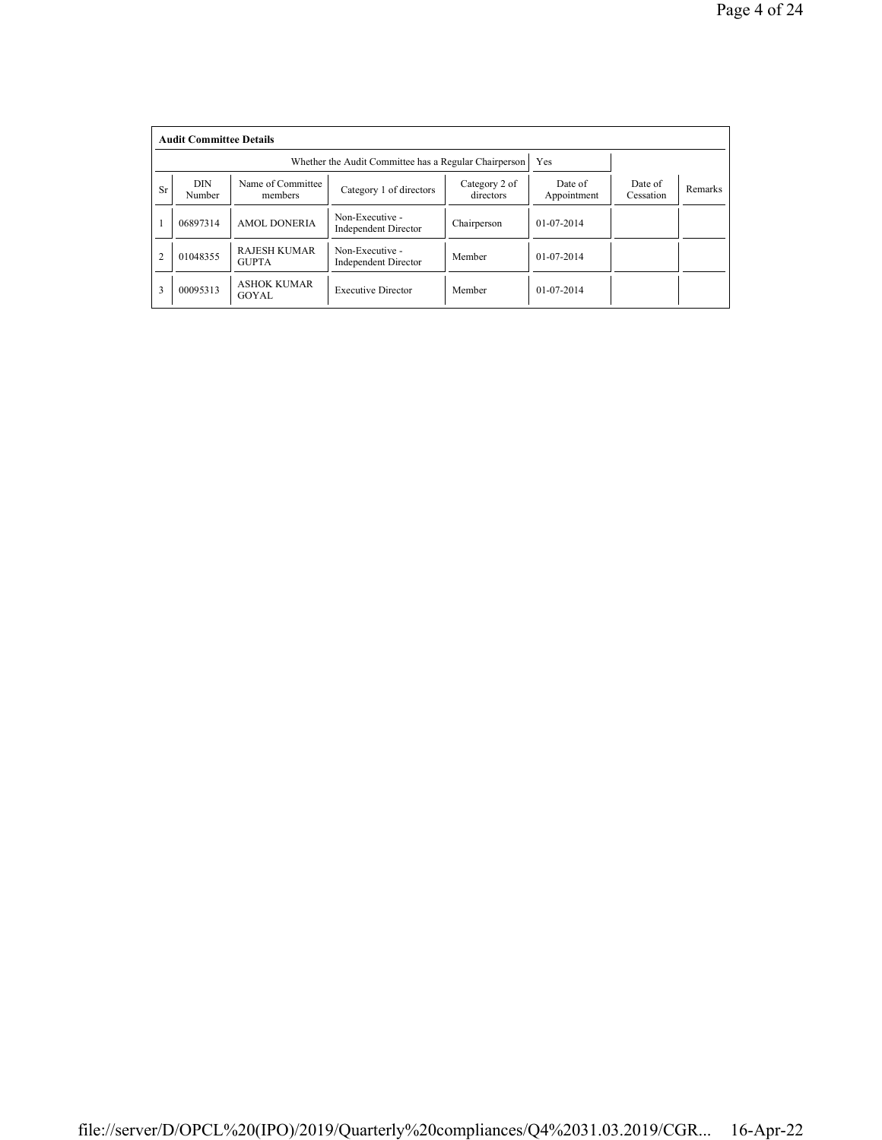|                | <b>Audit Committee Details</b> |                                                              |                                                |                            |                        |                      |                |  |  |
|----------------|--------------------------------|--------------------------------------------------------------|------------------------------------------------|----------------------------|------------------------|----------------------|----------------|--|--|
|                |                                | Whether the Audit Committee has a Regular Chairperson<br>Yes |                                                |                            |                        |                      |                |  |  |
| <b>Sr</b>      | <b>DIN</b><br>Number           | Name of Committee<br>members                                 | Category 1 of directors                        | Category 2 of<br>directors | Date of<br>Appointment | Date of<br>Cessation | <b>Remarks</b> |  |  |
|                | 06897314                       | <b>AMOL DONERIA</b>                                          | Non-Executive -<br><b>Independent Director</b> | Chairperson                | $01-07-2014$           |                      |                |  |  |
| $\overline{c}$ | 01048355                       | <b>RAJESH KUMAR</b><br><b>GUPTA</b>                          | Non-Executive -<br><b>Independent Director</b> | Member                     | $01-07-2014$           |                      |                |  |  |
| 3              | 00095313                       | <b>ASHOK KUMAR</b><br>GOYAL.                                 | <b>Executive Director</b>                      | Member                     | $01 - 07 - 2014$       |                      |                |  |  |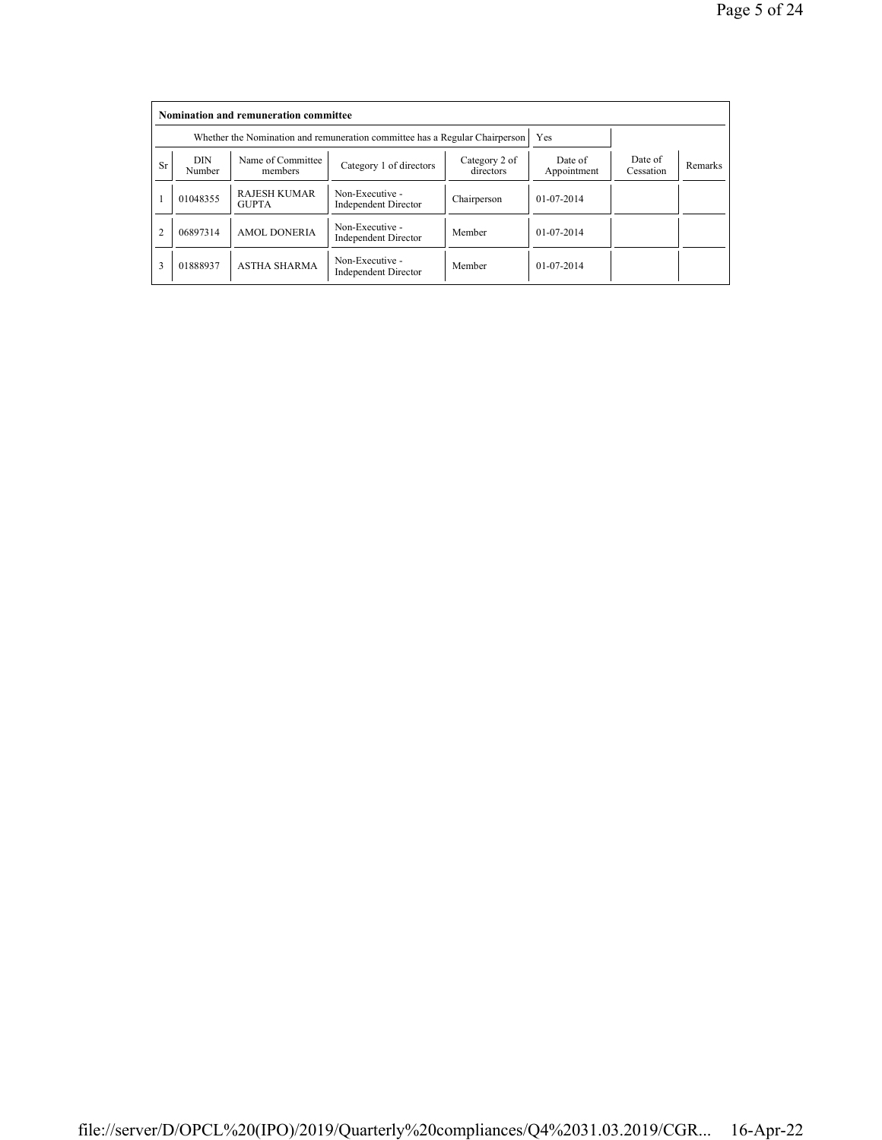|                | Nomination and remuneration committee |                                                                             |                                                |                      |                  |  |  |  |  |
|----------------|---------------------------------------|-----------------------------------------------------------------------------|------------------------------------------------|----------------------|------------------|--|--|--|--|
|                |                                       | Whether the Nomination and remuneration committee has a Regular Chairperson | Yes                                            |                      |                  |  |  |  |  |
| Sr             | <b>DIN</b><br>Number                  | Name of Committee<br>members                                                | Date of<br>Appointment                         | Date of<br>Cessation | <b>Remarks</b>   |  |  |  |  |
|                | 01048355                              | <b>RAJESH KUMAR</b><br><b>GUPTA</b>                                         | Non-Executive -<br><b>Independent Director</b> | Chairperson          | $01 - 07 - 2014$ |  |  |  |  |
| $\overline{c}$ | 06897314                              | <b>AMOL DONERIA</b>                                                         | Non-Executive -<br><b>Independent Director</b> | Member               | $01-07-2014$     |  |  |  |  |
| 3              | 01888937                              | <b>ASTHA SHARMA</b>                                                         | Non-Executive -<br>Independent Director        | Member               | $01 - 07 - 2014$ |  |  |  |  |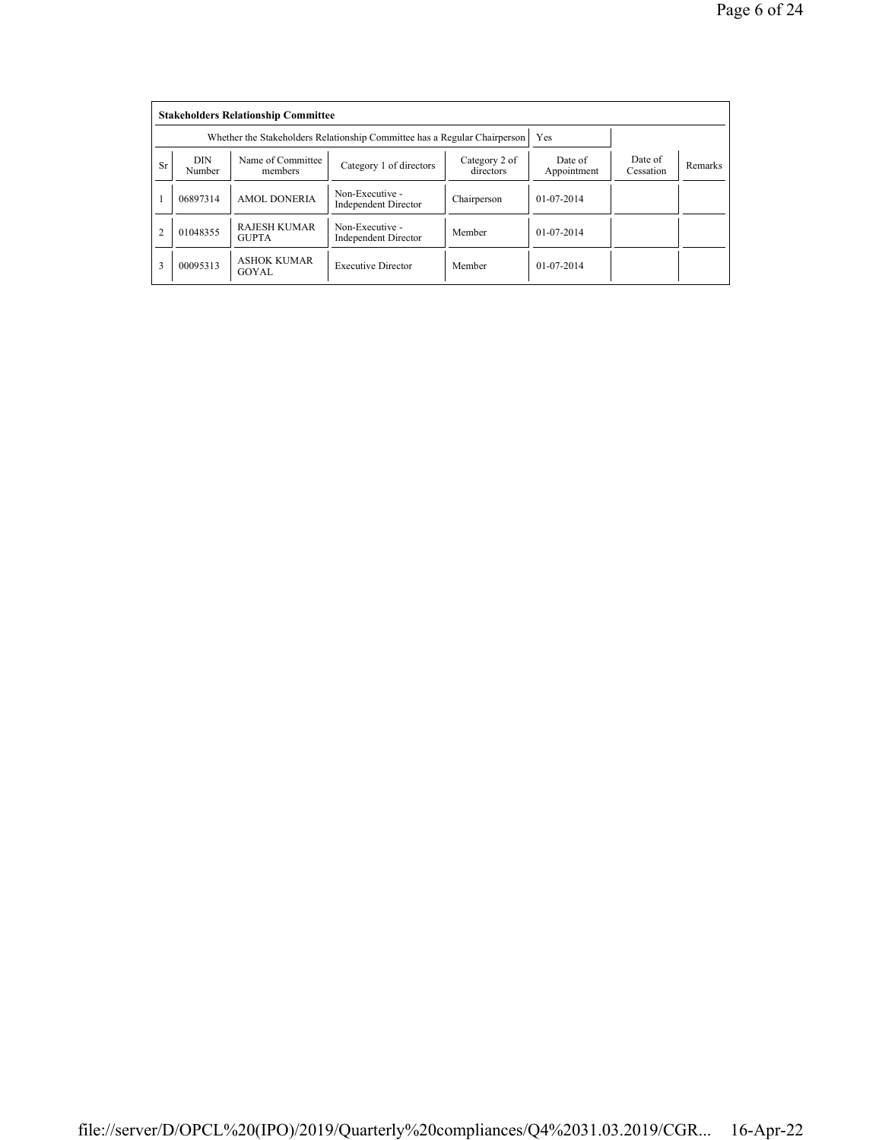|                | <b>Stakeholders Relationship Committee</b> |                                                                           |                                                |                      |                |  |  |  |  |
|----------------|--------------------------------------------|---------------------------------------------------------------------------|------------------------------------------------|----------------------|----------------|--|--|--|--|
|                |                                            | Whether the Stakeholders Relationship Committee has a Regular Chairperson | Yes                                            |                      |                |  |  |  |  |
| Sr             | <b>DIN</b><br>Number                       | Name of Committee<br>members                                              | Date of<br>Appointment                         | Date of<br>Cessation | <b>Remarks</b> |  |  |  |  |
|                | 06897314                                   | <b>AMOL DONERIA</b>                                                       | Non-Executive -<br>Independent Director        | Chairperson          | $01-07-2014$   |  |  |  |  |
| $\overline{c}$ | 01048355                                   | <b>RAJESH KUMAR</b><br><b>GUPTA</b>                                       | Non-Executive -<br><b>Independent Director</b> | Member               | $01-07-2014$   |  |  |  |  |
| 3              | 00095313                                   | <b>ASHOK KUMAR</b><br>GOYAL                                               | <b>Executive Director</b>                      | Member               | $01-07-2014$   |  |  |  |  |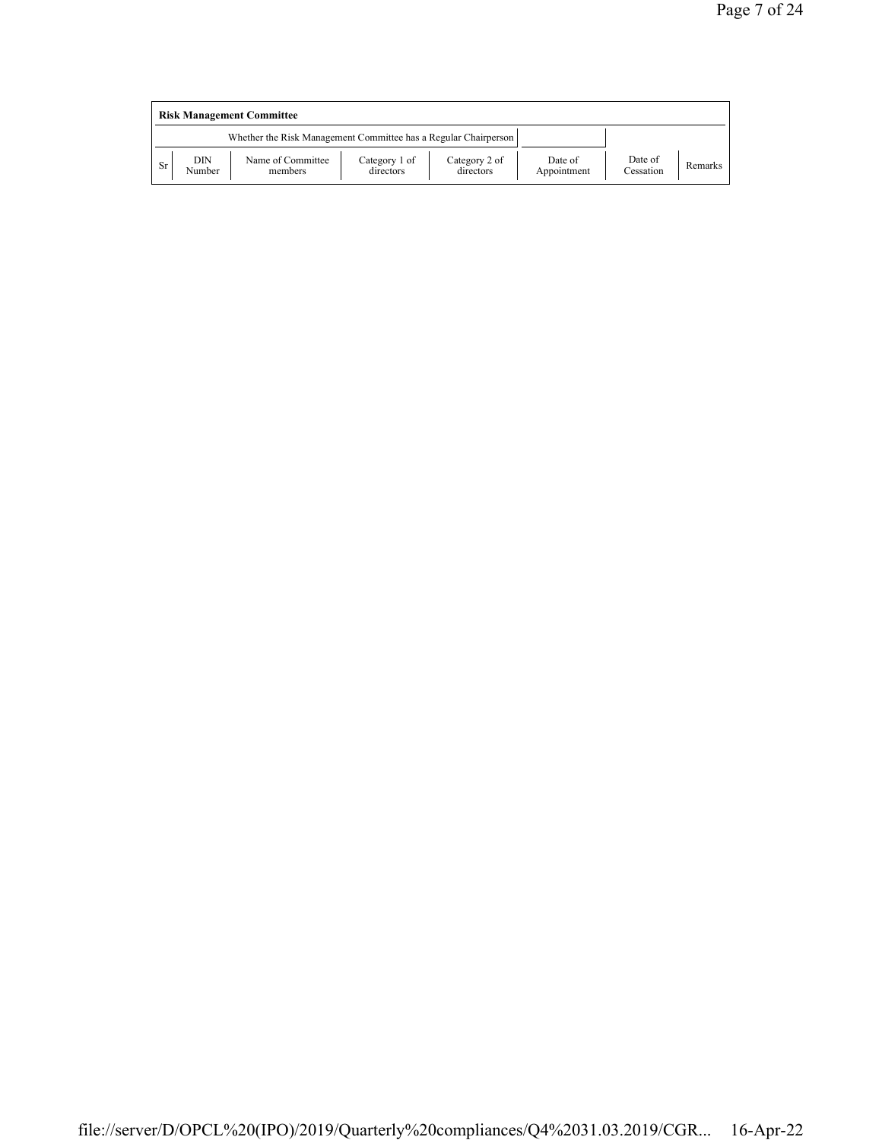|           | <b>Risk Management Committee</b> |                                                                 |                            |                            |                        |                      |         |  |
|-----------|----------------------------------|-----------------------------------------------------------------|----------------------------|----------------------------|------------------------|----------------------|---------|--|
|           |                                  | Whether the Risk Management Committee has a Regular Chairperson |                            |                            |                        |                      |         |  |
| <b>Sr</b> | DIN<br>Number                    | Name of Committee<br>members                                    | Category 1 of<br>directors | Category 2 of<br>directors | Date of<br>Appointment | Date of<br>Cessation | Remarks |  |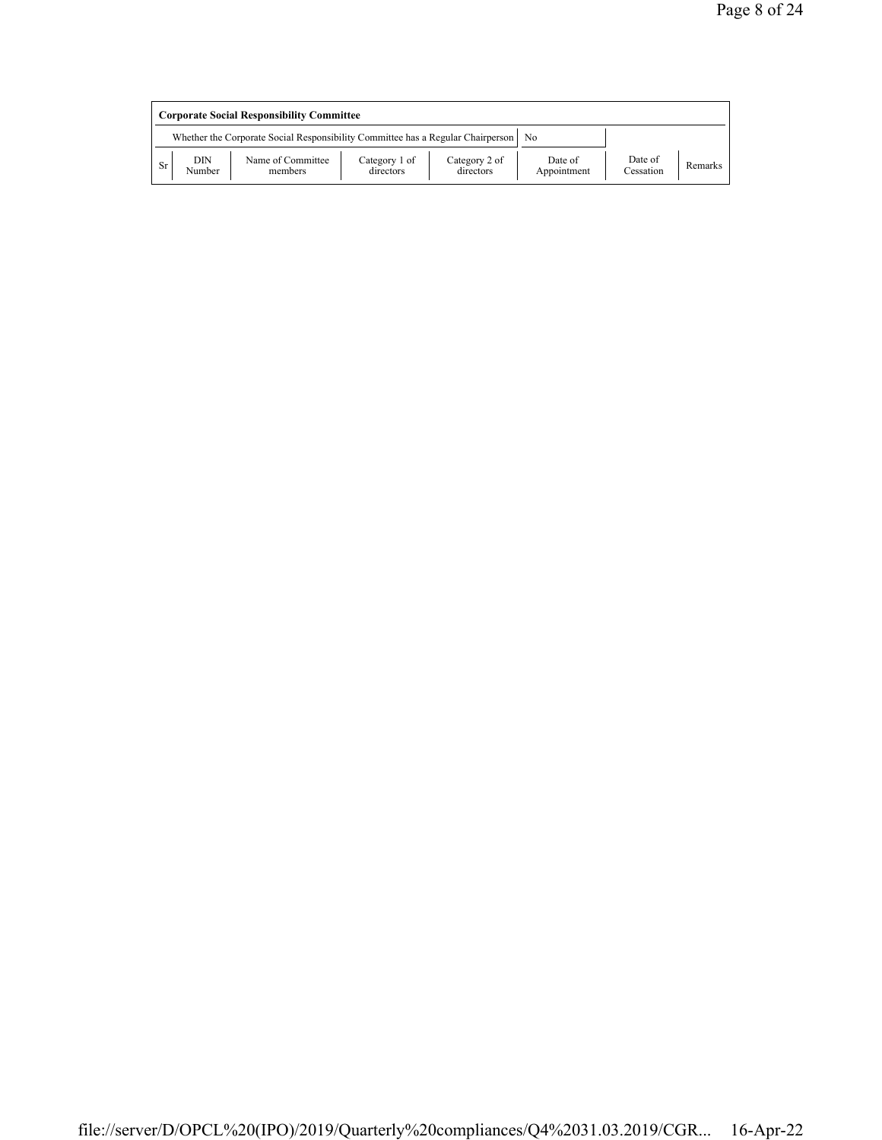|           | <b>Corporate Social Responsibility Committee</b> |                                                                                      |                            |                            |                        |                      |         |  |
|-----------|--------------------------------------------------|--------------------------------------------------------------------------------------|----------------------------|----------------------------|------------------------|----------------------|---------|--|
|           |                                                  | Whether the Corporate Social Responsibility Committee has a Regular Chairperson   No |                            |                            |                        |                      |         |  |
| <b>Sr</b> | DIN<br>Number                                    | Name of Committee<br>members                                                         | Category 1 of<br>directors | Category 2 of<br>directors | Date of<br>Appointment | Date of<br>Cessation | Remarks |  |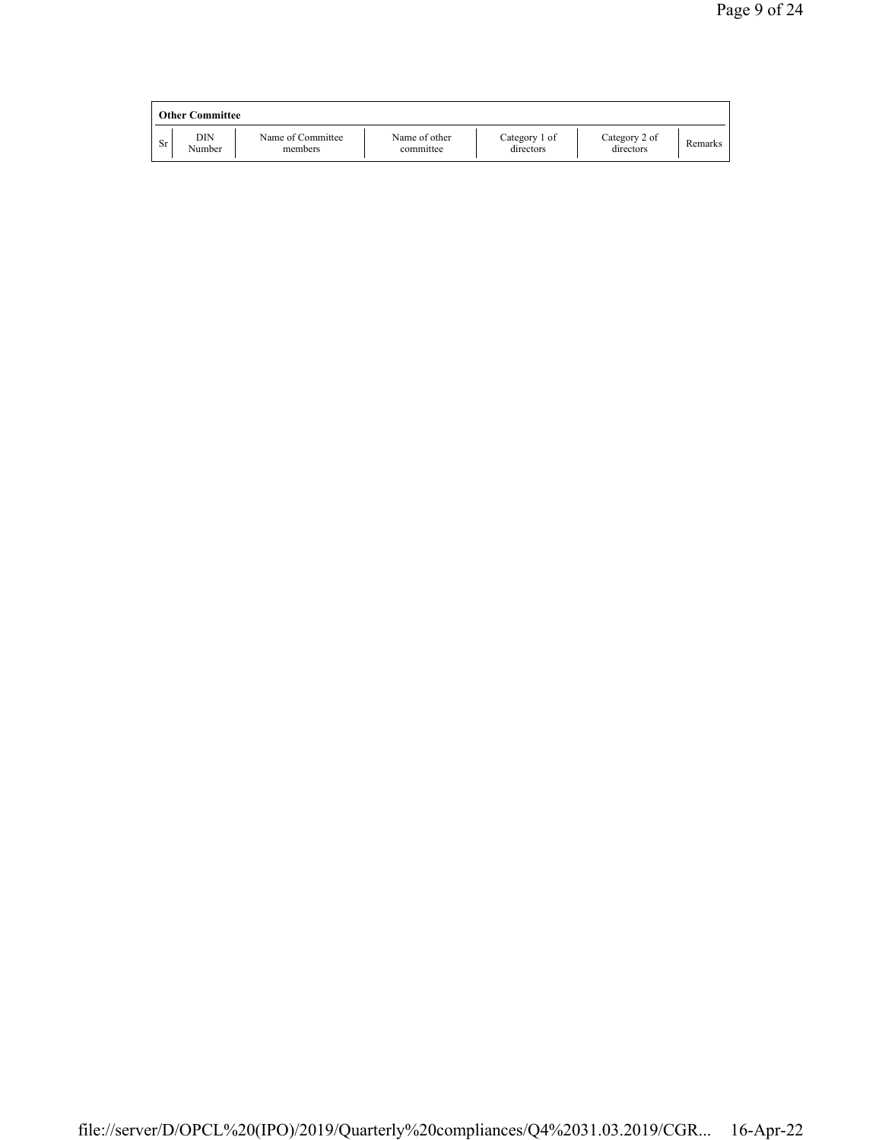|    | <b>Other Committee</b> |                              |                            |                            |                            |         |
|----|------------------------|------------------------------|----------------------------|----------------------------|----------------------------|---------|
| Sr | DIN<br>Number          | Name of Committee<br>members | Name of other<br>committee | Category 1 of<br>directors | Category 2 of<br>directors | Remarks |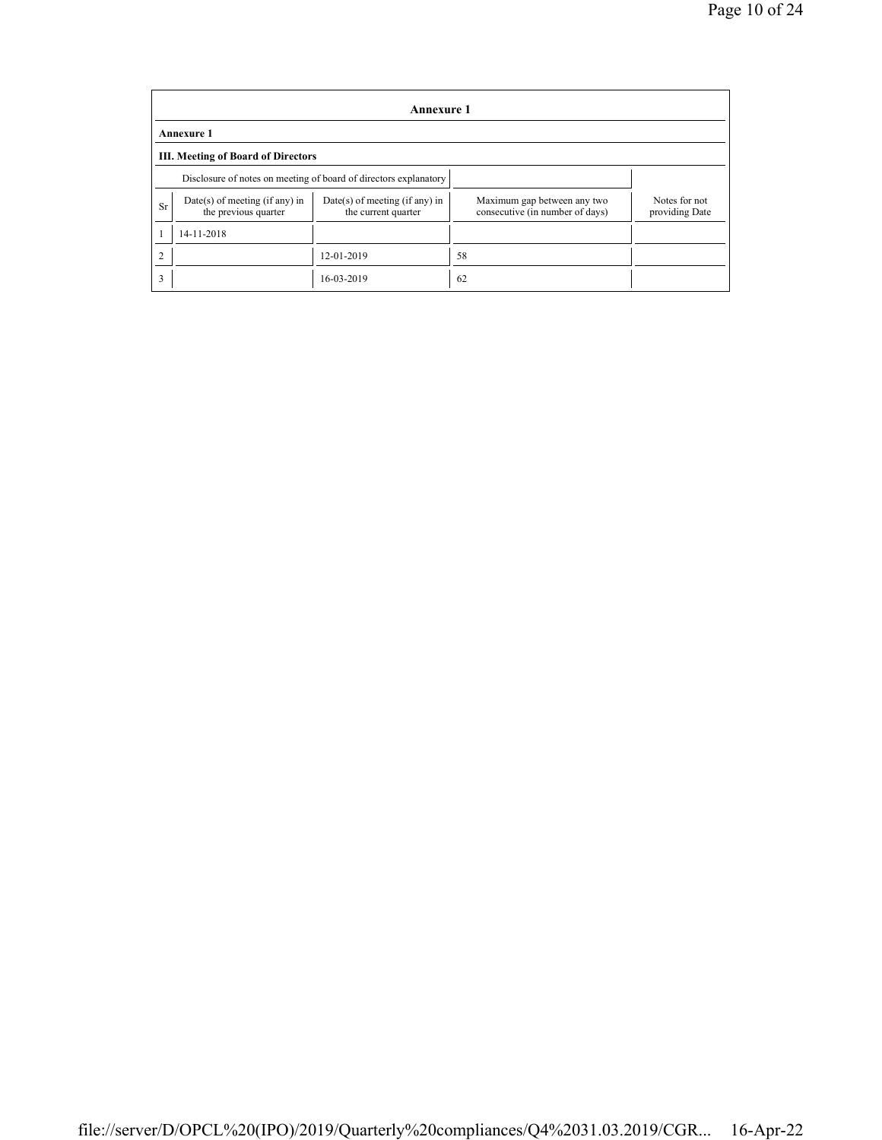|                  | Annexure 1                                                       |                                                       |                                                                |                                 |  |  |  |  |  |
|------------------|------------------------------------------------------------------|-------------------------------------------------------|----------------------------------------------------------------|---------------------------------|--|--|--|--|--|
|                  | <b>Annexure 1</b>                                                |                                                       |                                                                |                                 |  |  |  |  |  |
|                  | <b>III. Meeting of Board of Directors</b>                        |                                                       |                                                                |                                 |  |  |  |  |  |
|                  | Disclosure of notes on meeting of board of directors explanatory |                                                       |                                                                |                                 |  |  |  |  |  |
| <b>Sr</b>        | $Date(s)$ of meeting (if any) in<br>the previous quarter         | Date(s) of meeting (if any) in<br>the current quarter | Maximum gap between any two<br>consecutive (in number of days) | Notes for not<br>providing Date |  |  |  |  |  |
|                  | 14-11-2018                                                       |                                                       |                                                                |                                 |  |  |  |  |  |
| 12-01-2019<br>58 |                                                                  |                                                       |                                                                |                                 |  |  |  |  |  |
| 3                |                                                                  | 16-03-2019                                            | 62                                                             |                                 |  |  |  |  |  |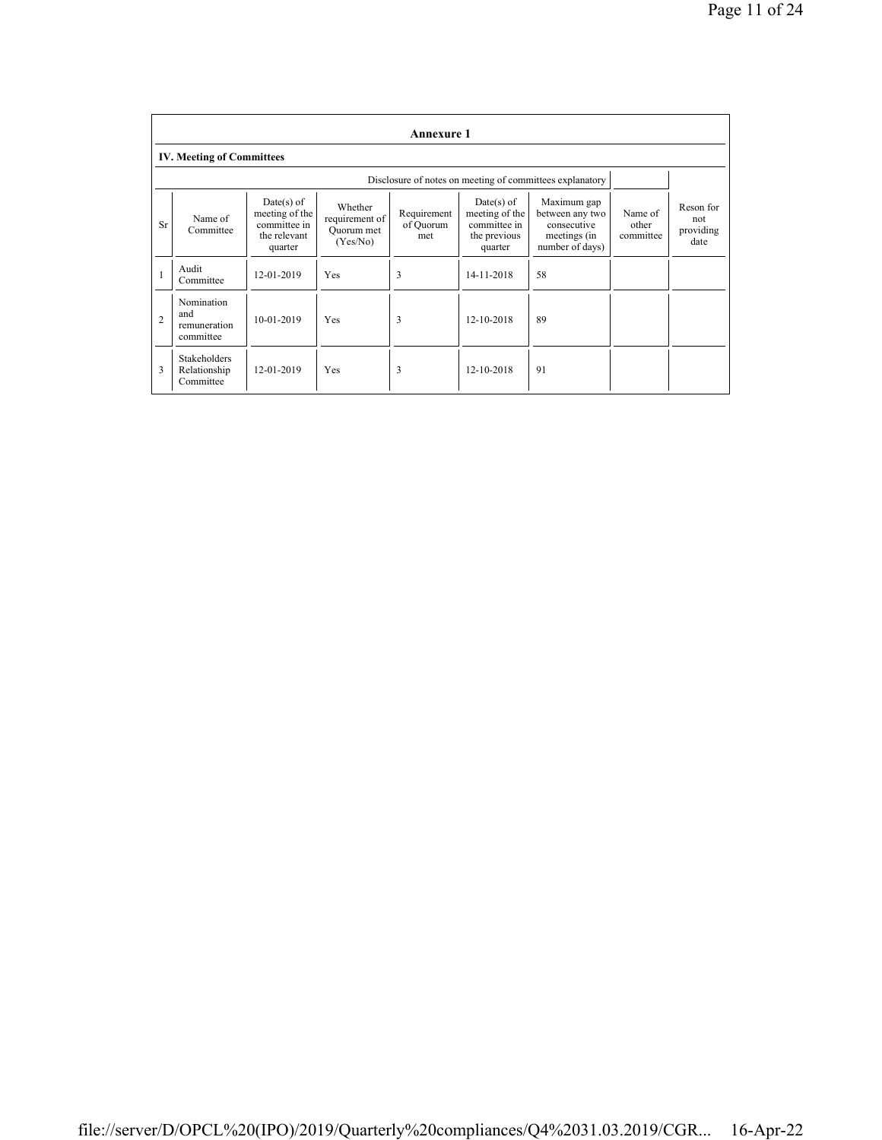|                | Annexure 1                                       |                                                                         |                                                     |                                 |                                                                         |                                                                                  |                               |                                       |
|----------------|--------------------------------------------------|-------------------------------------------------------------------------|-----------------------------------------------------|---------------------------------|-------------------------------------------------------------------------|----------------------------------------------------------------------------------|-------------------------------|---------------------------------------|
|                | <b>IV. Meeting of Committees</b>                 |                                                                         |                                                     |                                 |                                                                         |                                                                                  |                               |                                       |
|                |                                                  |                                                                         |                                                     |                                 |                                                                         | Disclosure of notes on meeting of committees explanatory                         |                               |                                       |
| Sr             | Name of<br>Committee                             | Date(s) of<br>meeting of the<br>committee in<br>the relevant<br>quarter | Whether<br>requirement of<br>Ouorum met<br>(Yes/No) | Requirement<br>of Ouorum<br>met | Date(s) of<br>meeting of the<br>committee in<br>the previous<br>quarter | Maximum gap<br>between any two<br>consecutive<br>meetings (in<br>number of days) | Name of<br>other<br>committee | Reson for<br>not<br>providing<br>date |
| 1              | Audit<br>Committee                               | 12-01-2019                                                              | Yes                                                 | 3                               | 14-11-2018                                                              | 58                                                                               |                               |                                       |
| $\overline{2}$ | Nomination<br>and<br>remuneration<br>committee   | 10-01-2019                                                              | Yes                                                 | 3                               | 12-10-2018                                                              | 89                                                                               |                               |                                       |
| 3              | <b>Stakeholders</b><br>Relationship<br>Committee | 12-01-2019                                                              | Yes                                                 | 3                               | 12-10-2018                                                              | 91                                                                               |                               |                                       |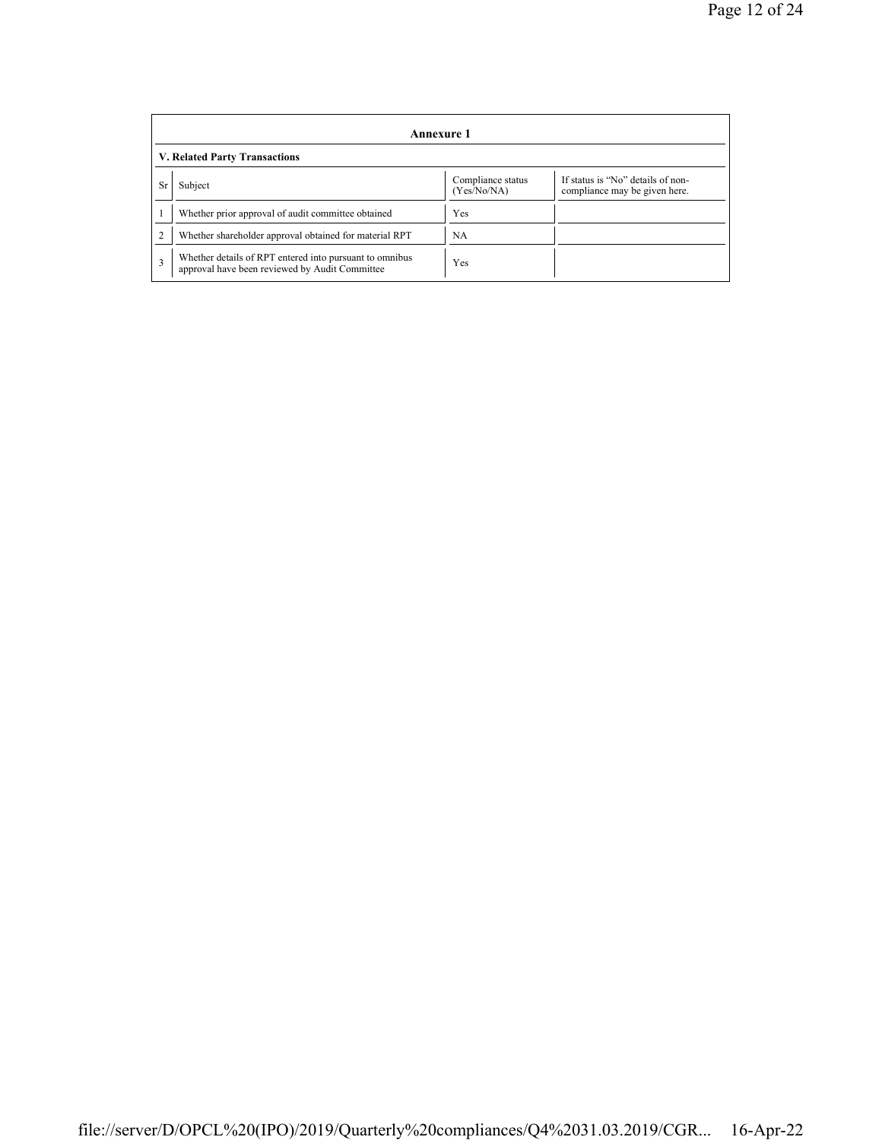|                | Annexure 1                                                                                                |                                  |                                                                    |  |  |  |  |  |
|----------------|-----------------------------------------------------------------------------------------------------------|----------------------------------|--------------------------------------------------------------------|--|--|--|--|--|
|                | <b>V. Related Party Transactions</b>                                                                      |                                  |                                                                    |  |  |  |  |  |
| Sr             | Subject                                                                                                   | Compliance status<br>(Yes/No/NA) | If status is "No" details of non-<br>compliance may be given here. |  |  |  |  |  |
|                | Whether prior approval of audit committee obtained                                                        | Yes                              |                                                                    |  |  |  |  |  |
| $\overline{2}$ | Whether shareholder approval obtained for material RPT                                                    | NA                               |                                                                    |  |  |  |  |  |
| 3              | Whether details of RPT entered into pursuant to omnibus<br>approval have been reviewed by Audit Committee | Yes                              |                                                                    |  |  |  |  |  |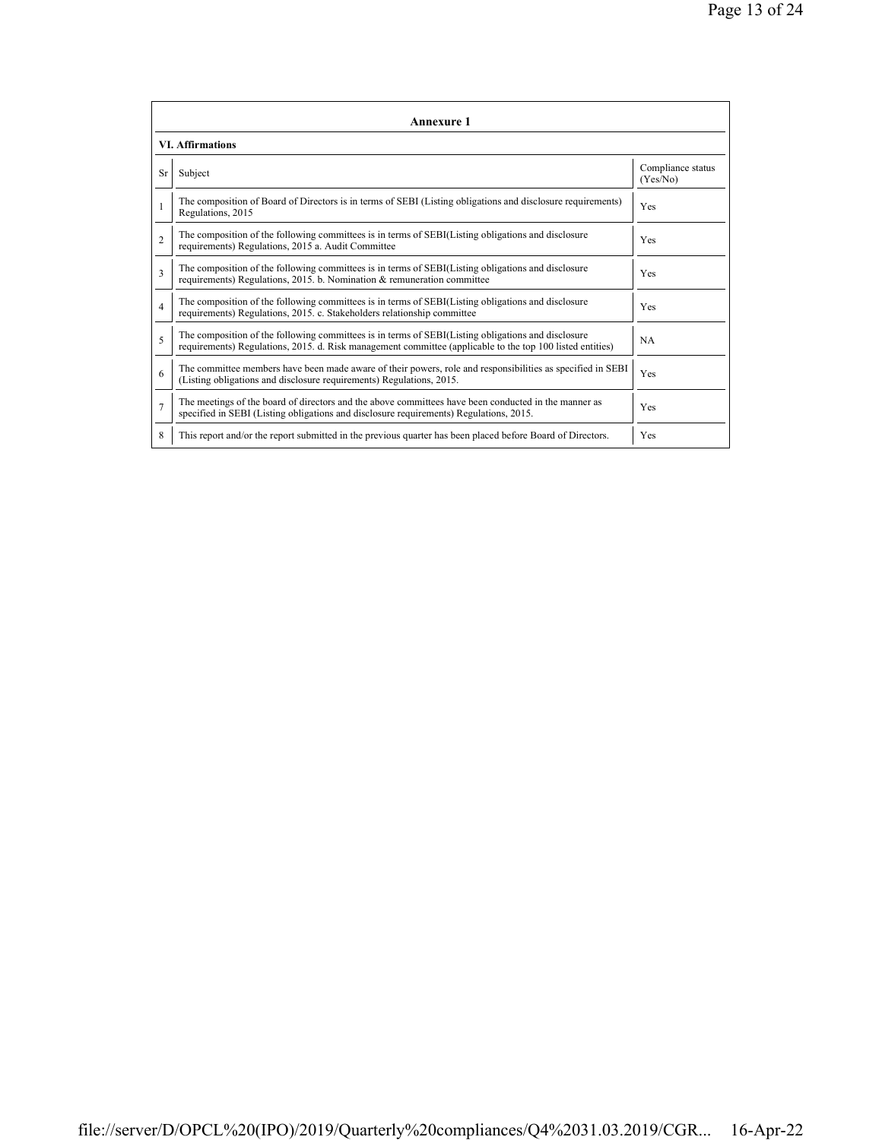|                          | <b>Annexure 1</b>                                                                                                                                                                                               |                               |  |  |  |  |
|--------------------------|-----------------------------------------------------------------------------------------------------------------------------------------------------------------------------------------------------------------|-------------------------------|--|--|--|--|
|                          | <b>VI. Affirmations</b>                                                                                                                                                                                         |                               |  |  |  |  |
| Sr                       | Subject                                                                                                                                                                                                         | Compliance status<br>(Yes/No) |  |  |  |  |
|                          | The composition of Board of Directors is in terms of SEBI (Listing obligations and disclosure requirements)<br>Regulations, 2015                                                                                | Yes                           |  |  |  |  |
| $\overline{c}$           | The composition of the following committees is in terms of SEBI(Listing obligations and disclosure<br>requirements) Regulations, 2015 a. Audit Committee                                                        | <b>Yes</b>                    |  |  |  |  |
| 3                        | The composition of the following committees is in terms of SEBI(Listing obligations and disclosure<br>requirements) Regulations, 2015. b. Nomination $\&$ remuneration committee                                | <b>Yes</b>                    |  |  |  |  |
| 4                        | The composition of the following committees is in terms of SEBI(Listing obligations and disclosure<br>requirements) Regulations, 2015. c. Stakeholders relationship committee                                   | <b>Yes</b>                    |  |  |  |  |
| $\overline{\phantom{0}}$ | The composition of the following committees is in terms of SEBI(Listing obligations and disclosure<br>requirements) Regulations, 2015. d. Risk management committee (applicable to the top 100 listed entities) | <b>NA</b>                     |  |  |  |  |
| 6                        | The committee members have been made aware of their powers, role and responsibilities as specified in SEBI<br>(Listing obligations and disclosure requirements) Regulations, 2015.                              | Yes                           |  |  |  |  |
| $\overline{7}$           | The meetings of the board of directors and the above committees have been conducted in the manner as<br>specified in SEBI (Listing obligations and disclosure requirements) Regulations, 2015.                  | <b>Yes</b>                    |  |  |  |  |
| 8                        | This report and/or the report submitted in the previous quarter has been placed before Board of Directors.                                                                                                      | Yes                           |  |  |  |  |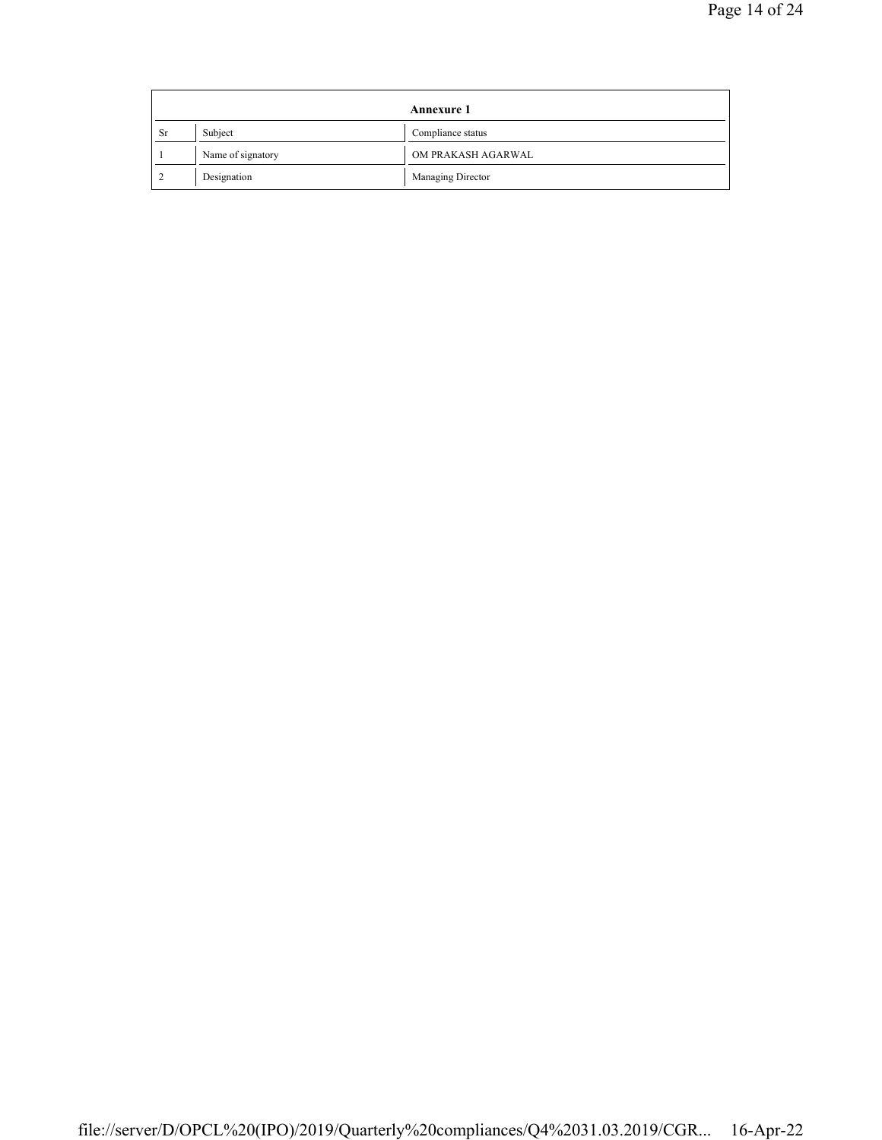|    |                   | <b>Annexure 1</b>  |
|----|-------------------|--------------------|
| Sr | Subject           | Compliance status  |
|    | Name of signatory | OM PRAKASH AGARWAL |
|    | Designation       | Managing Director  |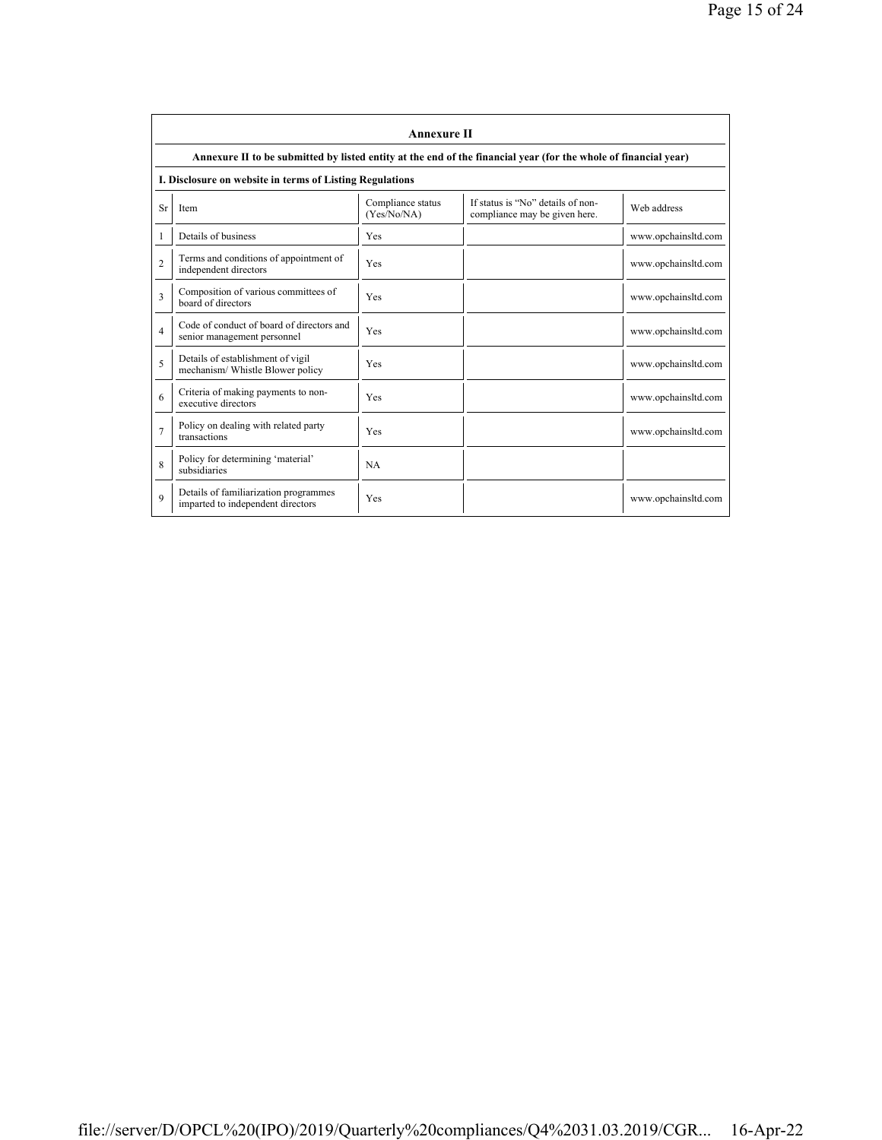|                | <b>Annexure II</b>                                                                                              |                                  |                                                                    |                     |  |
|----------------|-----------------------------------------------------------------------------------------------------------------|----------------------------------|--------------------------------------------------------------------|---------------------|--|
|                | Annexure II to be submitted by listed entity at the end of the financial year (for the whole of financial year) |                                  |                                                                    |                     |  |
|                | I. Disclosure on website in terms of Listing Regulations                                                        |                                  |                                                                    |                     |  |
| Sr             | <b>Item</b>                                                                                                     | Compliance status<br>(Yes/No/NA) | If status is "No" details of non-<br>compliance may be given here. | Web address         |  |
| 1              | Details of business                                                                                             | Yes                              |                                                                    | www.opchainsltd.com |  |
| $\overline{2}$ | Terms and conditions of appointment of<br>independent directors                                                 | Yes                              |                                                                    | www.opchainsltd.com |  |
| 3              | Composition of various committees of<br>board of directors                                                      | Yes                              |                                                                    | www.opchainsltd.com |  |
| 4              | Code of conduct of board of directors and<br>senior management personnel                                        | Yes                              |                                                                    | www.opchainsltd.com |  |
| 5              | Details of establishment of vigil<br>mechanism/ Whistle Blower policy                                           | Yes                              |                                                                    | www.opchainsltd.com |  |
| 6              | Criteria of making payments to non-<br>executive directors                                                      | Yes                              |                                                                    | www.opchainsltd.com |  |
| $\overline{7}$ | Policy on dealing with related party<br>transactions                                                            | Yes                              |                                                                    | www.opchainsltd.com |  |
| 8              | Policy for determining 'material'<br>subsidiaries                                                               | <b>NA</b>                        |                                                                    |                     |  |
| $\mathbf Q$    | Details of familiarization programmes<br>imparted to independent directors                                      | Yes                              |                                                                    | www.opchainsltd.com |  |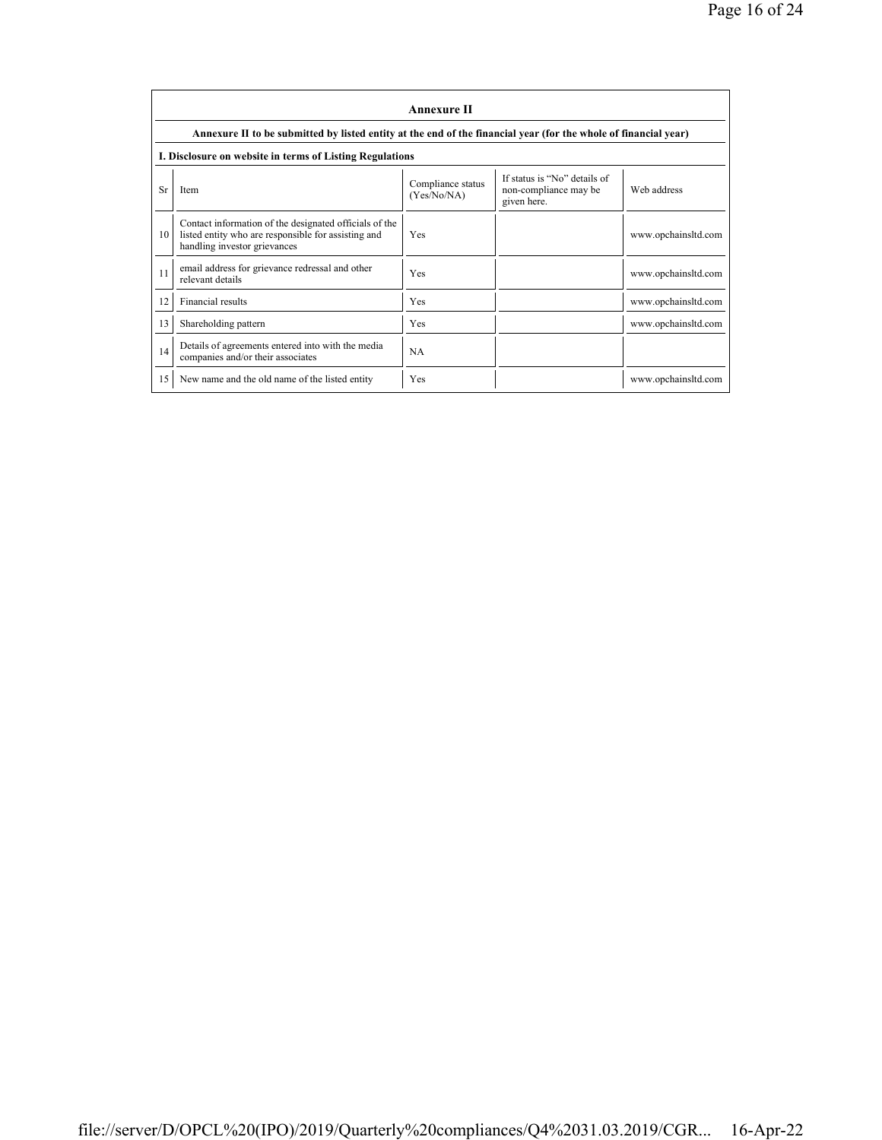|    | <b>Annexure II</b>                                                                                                                            |                                  |                                                                      |                     |  |
|----|-----------------------------------------------------------------------------------------------------------------------------------------------|----------------------------------|----------------------------------------------------------------------|---------------------|--|
|    | Annexure II to be submitted by listed entity at the end of the financial year (for the whole of financial year)                               |                                  |                                                                      |                     |  |
|    | I. Disclosure on website in terms of Listing Regulations                                                                                      |                                  |                                                                      |                     |  |
| Sr | Item                                                                                                                                          | Compliance status<br>(Yes/No/NA) | If status is "No" details of<br>non-compliance may be<br>given here. | Web address         |  |
| 10 | Contact information of the designated officials of the<br>listed entity who are responsible for assisting and<br>handling investor grievances | Yes                              |                                                                      | www.opchainsltd.com |  |
| 11 | email address for grievance redressal and other<br>relevant details                                                                           | Yes                              |                                                                      | www.opchainsltd.com |  |
| 12 | Financial results                                                                                                                             | Yes                              |                                                                      | www.opchainsltd.com |  |
| 13 | Shareholding pattern                                                                                                                          | Yes                              |                                                                      | www.opchainsltd.com |  |
| 14 | Details of agreements entered into with the media<br>companies and/or their associates                                                        | <b>NA</b>                        |                                                                      |                     |  |
| 15 | New name and the old name of the listed entity                                                                                                | Yes                              |                                                                      | www.opchainsltd.com |  |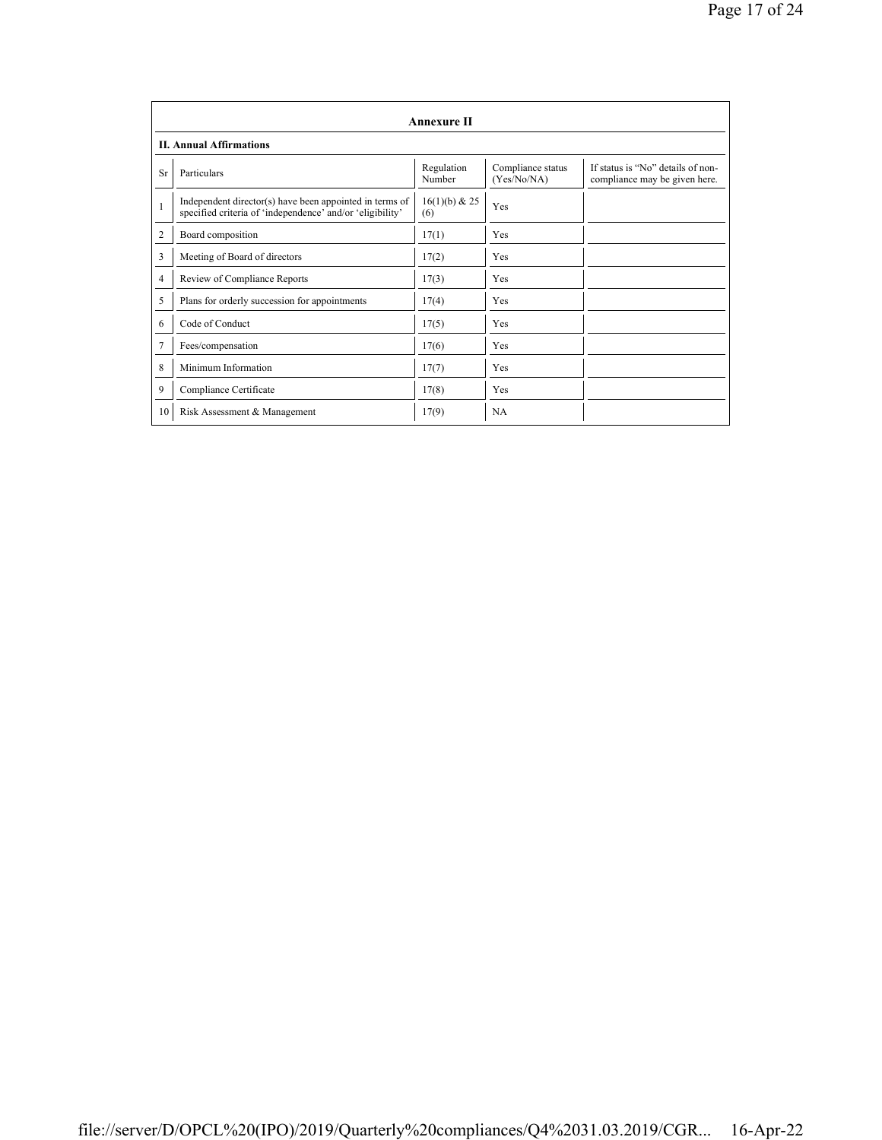|                | <b>Annexure II</b>                                                                                                   |                      |                                  |                                                                    |
|----------------|----------------------------------------------------------------------------------------------------------------------|----------------------|----------------------------------|--------------------------------------------------------------------|
|                | <b>II. Annual Affirmations</b>                                                                                       |                      |                                  |                                                                    |
| Sr             | Particulars                                                                                                          | Regulation<br>Number | Compliance status<br>(Yes/No/NA) | If status is "No" details of non-<br>compliance may be given here. |
| $\mathbf{1}$   | Independent director(s) have been appointed in terms of<br>specified criteria of 'independence' and/or 'eligibility' | 16(1)(b) & 25<br>(6) | Yes                              |                                                                    |
| $\overline{2}$ | Board composition                                                                                                    | 17(1)                | Yes                              |                                                                    |
| 3              | Meeting of Board of directors                                                                                        | 17(2)                | Yes                              |                                                                    |
| 4              | Review of Compliance Reports                                                                                         | 17(3)                | <b>Yes</b>                       |                                                                    |
| 5              | Plans for orderly succession for appointments                                                                        | 17(4)                | Yes                              |                                                                    |
| 6              | Code of Conduct                                                                                                      | 17(5)                | <b>Yes</b>                       |                                                                    |
| 7              | Fees/compensation                                                                                                    | 17(6)                | Yes                              |                                                                    |
| 8              | Minimum Information                                                                                                  | 17(7)                | Yes                              |                                                                    |
| 9              | Compliance Certificate                                                                                               | 17(8)                | Yes                              |                                                                    |
| 10             | Risk Assessment & Management                                                                                         | 17(9)                | <b>NA</b>                        |                                                                    |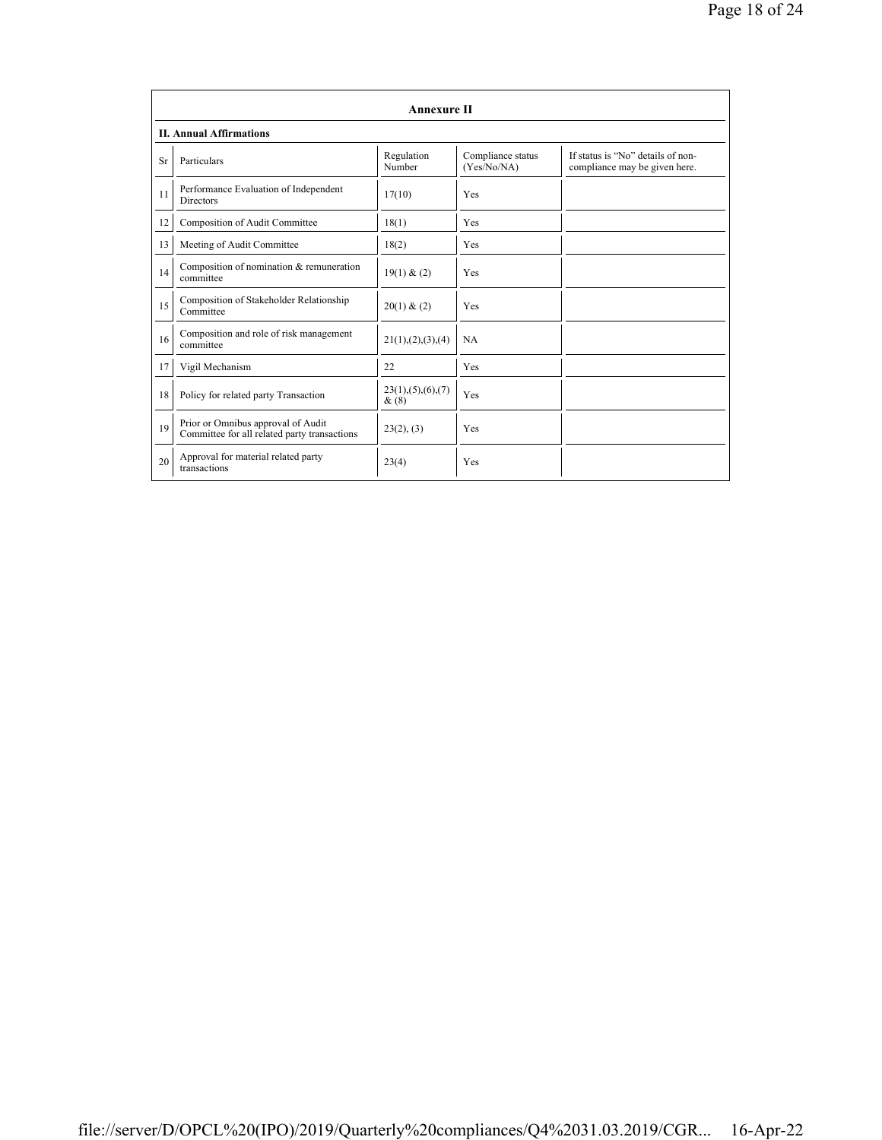|    | <b>Annexure II</b>                                                                 |                              |                                  |                                                                    |
|----|------------------------------------------------------------------------------------|------------------------------|----------------------------------|--------------------------------------------------------------------|
|    | <b>II. Annual Affirmations</b>                                                     |                              |                                  |                                                                    |
| Sr | Particulars                                                                        | Regulation<br>Number         | Compliance status<br>(Yes/No/NA) | If status is "No" details of non-<br>compliance may be given here. |
| 11 | Performance Evaluation of Independent<br><b>Directors</b>                          | 17(10)                       | Yes                              |                                                                    |
| 12 | Composition of Audit Committee                                                     | 18(1)                        | Yes                              |                                                                    |
| 13 | Meeting of Audit Committee                                                         | 18(2)                        | Yes                              |                                                                    |
| 14 | Composition of nomination & remuneration<br>committee                              | 19(1) & (2)                  | Yes                              |                                                                    |
| 15 | Composition of Stakeholder Relationship<br>Committee                               | 20(1) & (2)                  | Yes                              |                                                                    |
| 16 | Composition and role of risk management<br>committee                               | 21(1), (2), (3), (4)         | <b>NA</b>                        |                                                                    |
| 17 | Vigil Mechanism                                                                    | 22                           | Yes                              |                                                                    |
| 18 | Policy for related party Transaction                                               | 23(1), (5), (6), (7)<br>&(8) | Yes                              |                                                                    |
| 19 | Prior or Omnibus approval of Audit<br>Committee for all related party transactions | 23(2), (3)                   | Yes                              |                                                                    |
| 20 | Approval for material related party<br>transactions                                | 23(4)                        | Yes                              |                                                                    |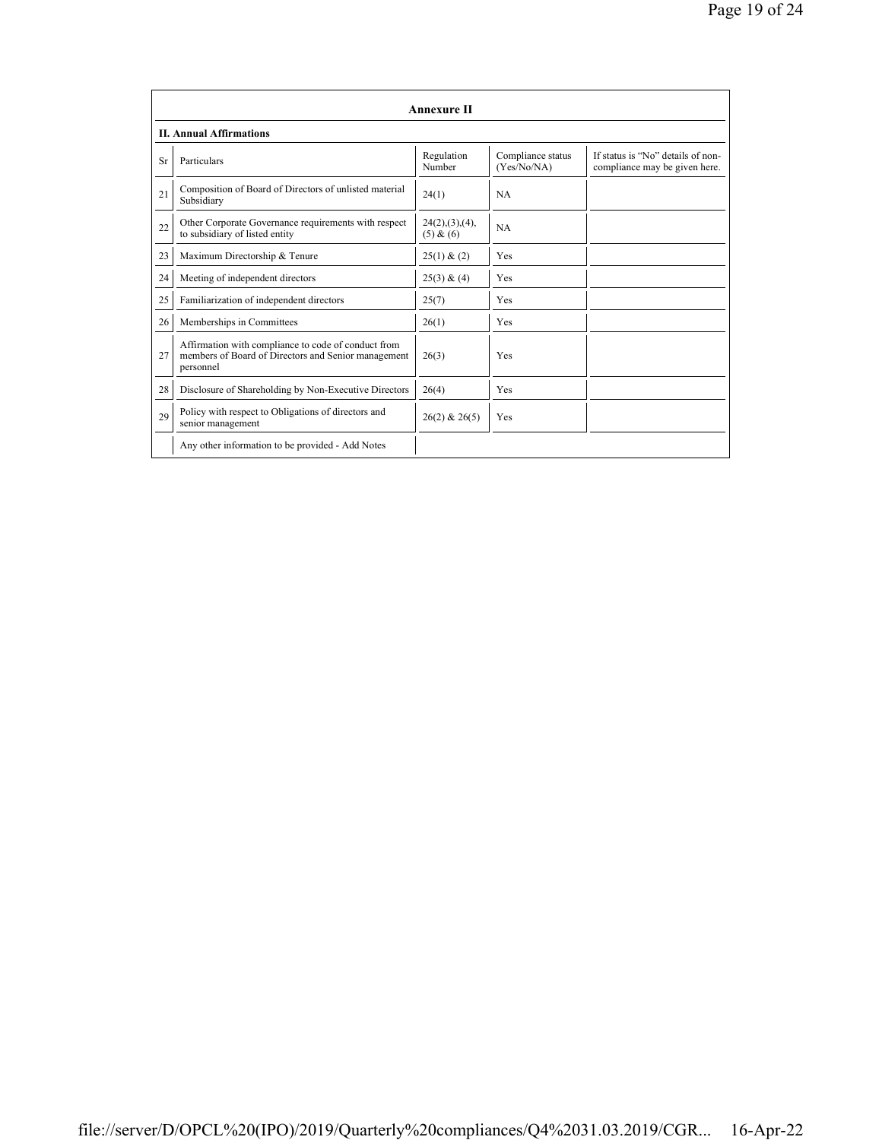|    | <b>Annexure II</b>                                                                                                      |                             |                                  |                                                                    |
|----|-------------------------------------------------------------------------------------------------------------------------|-----------------------------|----------------------------------|--------------------------------------------------------------------|
|    | <b>II. Annual Affirmations</b>                                                                                          |                             |                                  |                                                                    |
| Sr | Particulars                                                                                                             | Regulation<br>Number        | Compliance status<br>(Yes/No/NA) | If status is "No" details of non-<br>compliance may be given here. |
| 21 | Composition of Board of Directors of unlisted material<br>Subsidiary                                                    | 24(1)                       | <b>NA</b>                        |                                                                    |
| 22 | Other Corporate Governance requirements with respect<br>to subsidiary of listed entity                                  | 24(2),(3),(4),<br>(5) & (6) | <b>NA</b>                        |                                                                    |
| 23 | Maximum Directorship & Tenure                                                                                           | 25(1) & (2)                 | Yes                              |                                                                    |
| 24 | Meeting of independent directors                                                                                        | 25(3) & (4)                 | Yes                              |                                                                    |
| 25 | Familiarization of independent directors                                                                                | 25(7)                       | Yes                              |                                                                    |
| 26 | Memberships in Committees                                                                                               | 26(1)                       | Yes                              |                                                                    |
| 27 | Affirmation with compliance to code of conduct from<br>members of Board of Directors and Senior management<br>personnel | 26(3)                       | Yes                              |                                                                    |
| 28 | Disclosure of Shareholding by Non-Executive Directors                                                                   | 26(4)                       | Yes                              |                                                                    |
| 29 | Policy with respect to Obligations of directors and<br>senior management                                                | $26(2)$ & $26(5)$           | Yes                              |                                                                    |
|    | Any other information to be provided - Add Notes                                                                        |                             |                                  |                                                                    |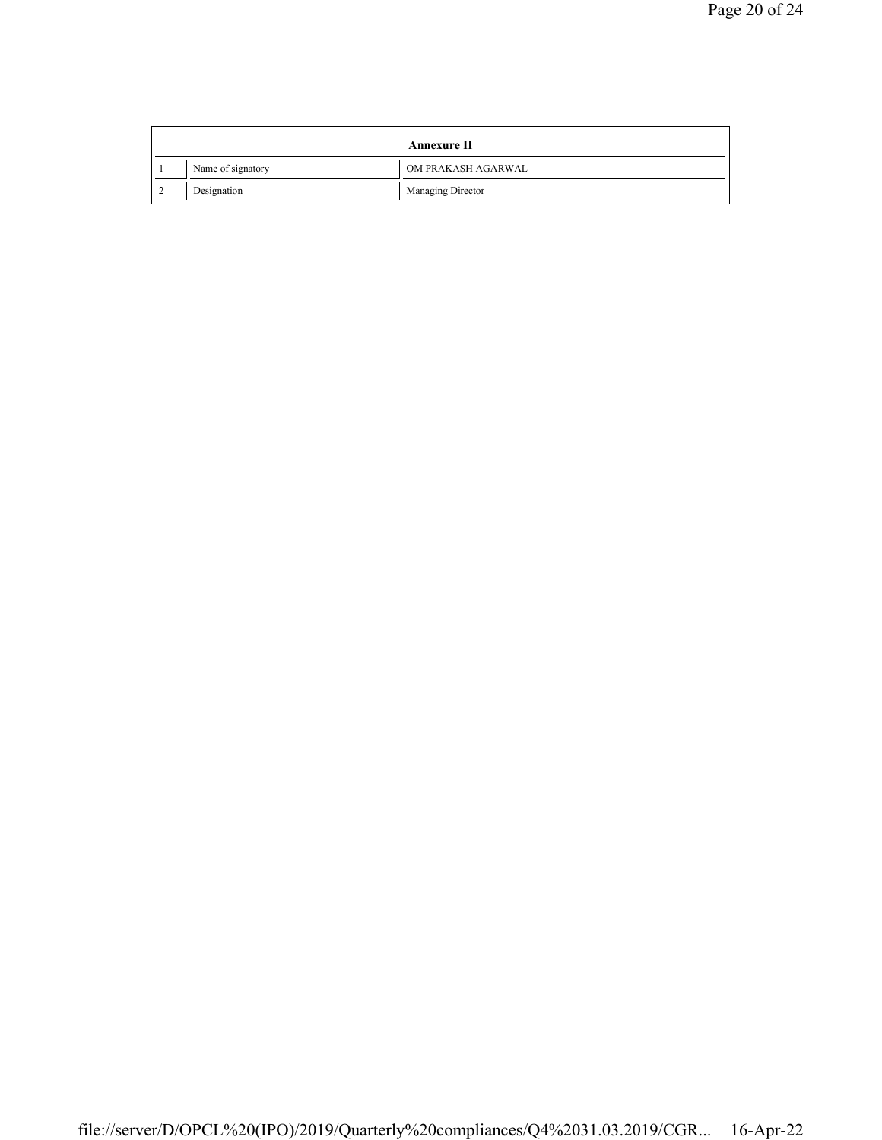|        | <b>Annexure II</b> |                    |  |
|--------|--------------------|--------------------|--|
|        | Name of signatory  | OM PRAKASH AGARWAL |  |
| $\sim$ | Designation        | Managing Director  |  |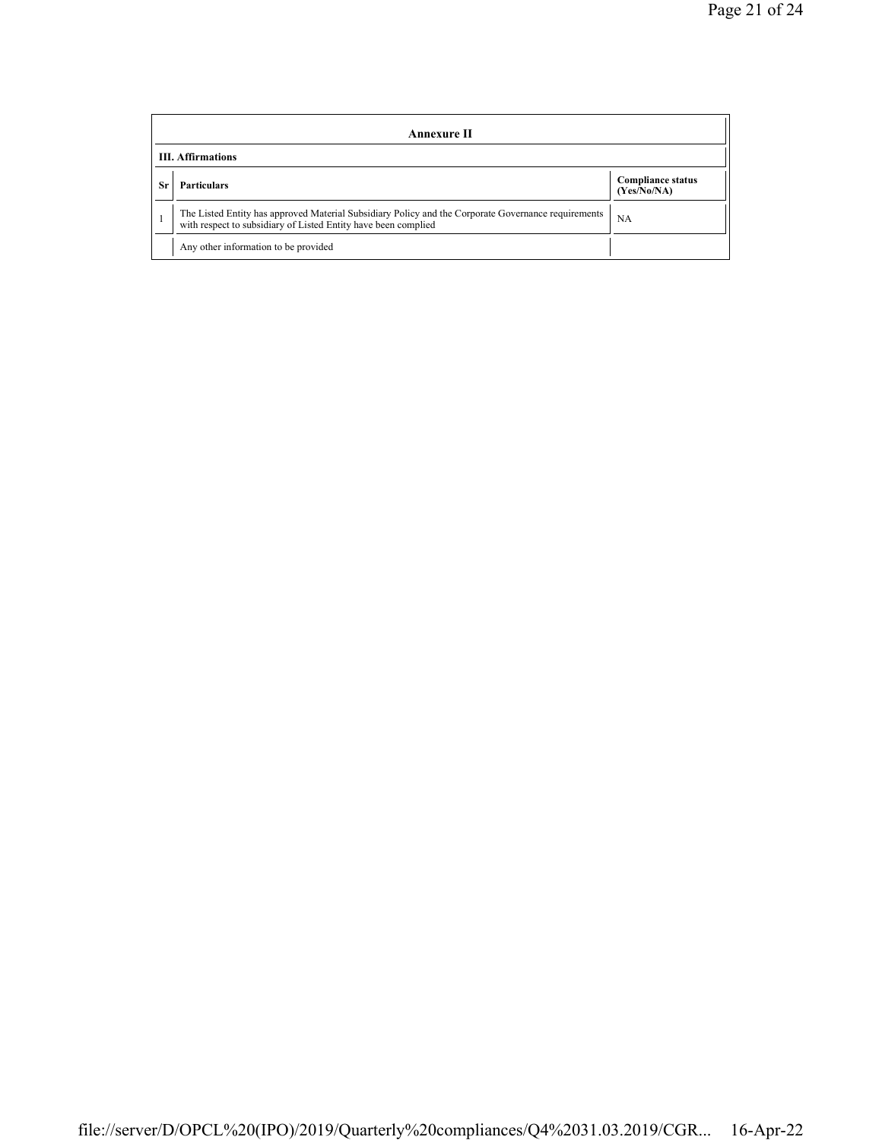|    | Annexure II                                                                                                                                                           |                                         |  |  |
|----|-----------------------------------------------------------------------------------------------------------------------------------------------------------------------|-----------------------------------------|--|--|
|    | <b>III.</b> Affirmations                                                                                                                                              |                                         |  |  |
| Sr | <b>Particulars</b>                                                                                                                                                    | <b>Compliance status</b><br>(Yes/No/NA) |  |  |
|    | The Listed Entity has approved Material Subsidiary Policy and the Corporate Governance requirements<br>with respect to subsidiary of Listed Entity have been complied | NA                                      |  |  |
|    | Any other information to be provided                                                                                                                                  |                                         |  |  |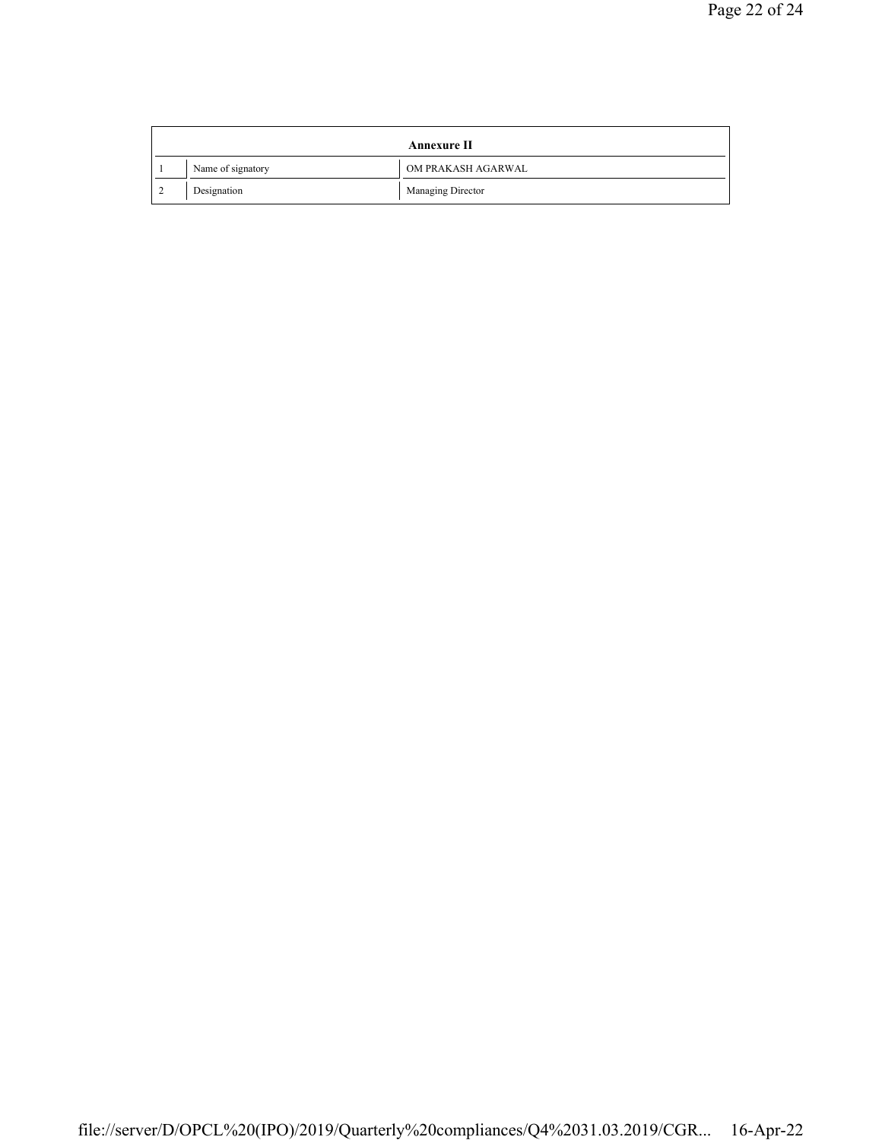|        | <b>Annexure II</b> |                    |  |
|--------|--------------------|--------------------|--|
|        | Name of signatory  | OM PRAKASH AGARWAL |  |
| $\sim$ | Designation        | Managing Director  |  |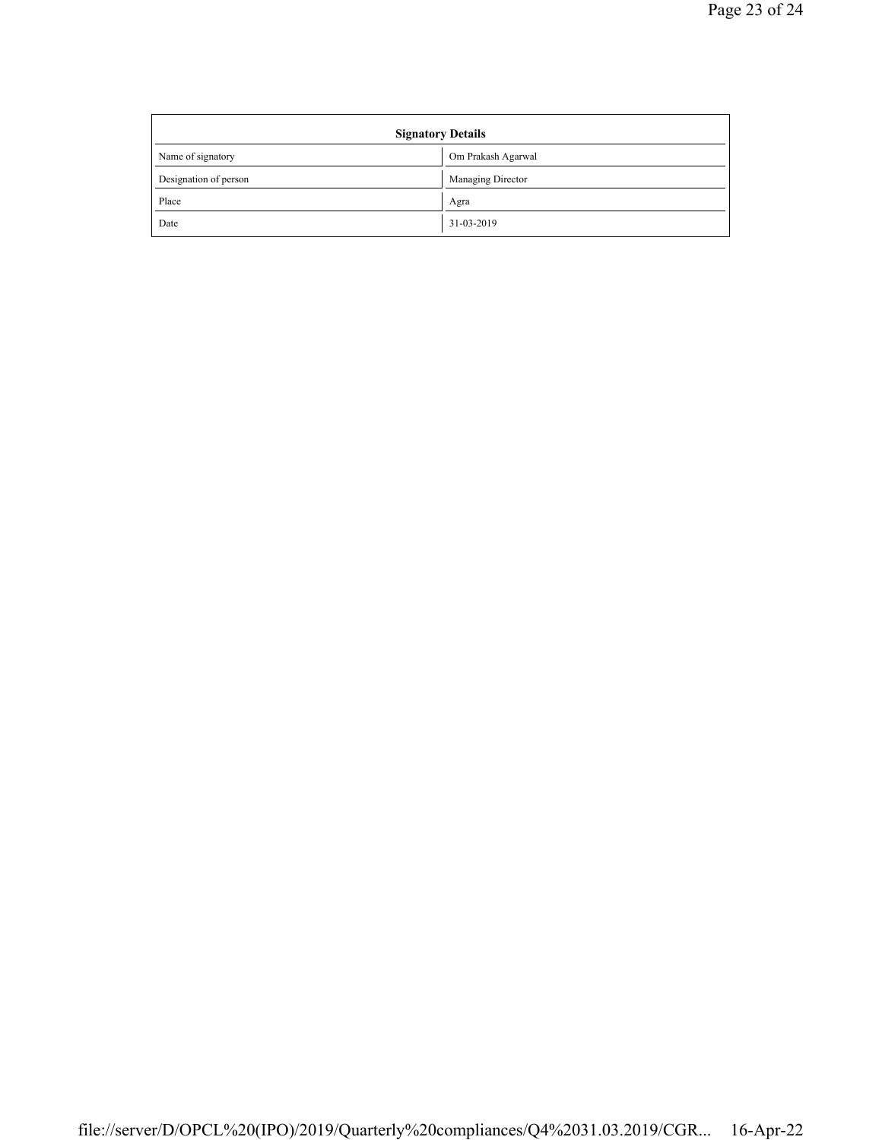| <b>Signatory Details</b> |                    |
|--------------------------|--------------------|
| Name of signatory        | Om Prakash Agarwal |
| Designation of person    | Managing Director  |
| Place                    | Agra               |
| Date                     | 31-03-2019         |